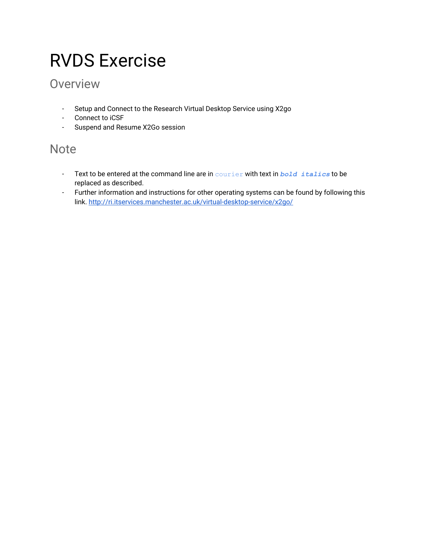# RVDS Exercise

# **Overview**

- Setup and Connect to the Research Virtual Desktop Service using X2go
- Connect to iCSF
- Suspend and Resume X2Go session

## **Note**

- Text to be entered at the command line are in courier with text in *bold italics* to be replaced as described.
- Further information and instructions for other operating systems can be found by following this link. <http://ri.itservices.manchester.ac.uk/virtual-desktop-service/x2go/>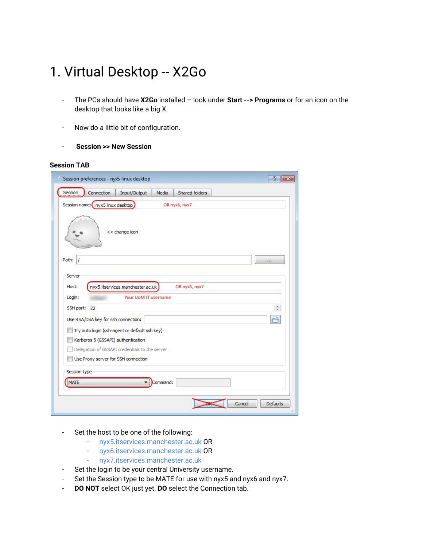# 1. Virtual Desktop -- X2Go

- The PCs should have **X2Go** installed look under **Start -‐> Programs** or for an icon on the desktop that looks like a big X.
- Now do a little bit of configuration.
- **Session >> New Session**

#### **Session TAB**

| Session preferences - nyxS linux desktop                         | P<br>$\overline{\mathbf{X}}$ |
|------------------------------------------------------------------|------------------------------|
| Session<br>Shared folders<br>Connection<br>Input/Output<br>Media |                              |
| Session name: ( nyx5 linux desktop)<br>OR nyx6, nyx7             |                              |
| << change icon                                                   |                              |
| Path:<br>1                                                       |                              |
| Server                                                           |                              |
| nyx5.itservices.manchester.ac.uk<br>Host:<br>OR nyx6, nyx7       |                              |
| Your UoM IT username<br>Login:                                   |                              |
| SSH port: 22                                                     | $\frac{1}{x}$                |
| Use RSA/DSA key for ssh connection:                              |                              |
| Try auto login (ssh-agent or default ssh key)                    |                              |
| Kerberos 5 (GSSAPI) authentication                               |                              |
| Delegation of GSSAPI credentials to the server                   |                              |
| Use Proxy server for SSH connection                              |                              |
| Session type                                                     |                              |
| MATE<br>Command:                                                 |                              |
|                                                                  |                              |
| Cancel                                                           | <b>Defaults</b><br>ä         |

- Set the host to be one of the following:
	- nyx5.itservices.manchester.ac.uk OR
	- nyx6.itservices.manchester.ac.uk OR
	- nyx7.itservices.manchester.ac.uk
- Set the login to be your central University username.
- Set the Session type to be MATE for use with nyx5 and nyx6 and nyx7.
- **DO NOT** select OK just yet. **DO** select the Connection tab.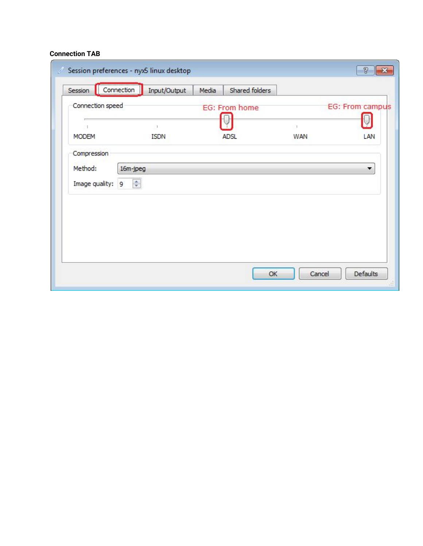#### **Connection TAB**

| Connection speed |               | EG: From home |          | EG: From campus |
|------------------|---------------|---------------|----------|-----------------|
|                  | $\mathcal{L}$ |               | $\geq 1$ |                 |
| <b>MODEM</b>     | <b>ISDN</b>   | <b>ADSL</b>   | WAN      | LAN             |
| Image quality: 9 | ÷             |               |          |                 |
|                  |               |               |          |                 |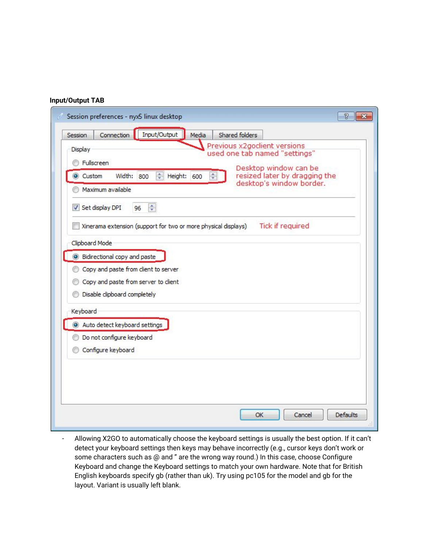#### **Input/Output TAB**

| Session                     | ŧ<br>Connection                                                | Input/Output<br>Media        | Shared folders                                                                        |                               |  |
|-----------------------------|----------------------------------------------------------------|------------------------------|---------------------------------------------------------------------------------------|-------------------------------|--|
| Display<br><b>Eulscreen</b> |                                                                |                              | Previous x2godient versions<br>used one tab named "settings"<br>Desktop window can be |                               |  |
| Custom                      | 수<br>Width:<br>800<br>Maximum available                        | Height: 600<br>$\frac{4}{7}$ | desktop's window border.                                                              | resized later by dragging the |  |
|                             | 승<br>Set display DPI<br>96                                     |                              |                                                                                       |                               |  |
|                             | Xinerama extension (support for two or more physical displays) |                              |                                                                                       | <b>Tick if required</b>       |  |
| Clipboard Mode              |                                                                |                              |                                                                                       |                               |  |
|                             | Bidirectional copy and paste                                   |                              |                                                                                       |                               |  |
|                             | Copy and paste from client to server                           |                              |                                                                                       |                               |  |
|                             | Copy and paste from server to client                           |                              |                                                                                       |                               |  |
|                             | Disable clipboard completely                                   |                              |                                                                                       |                               |  |
| Keyboard                    |                                                                |                              |                                                                                       |                               |  |
|                             | Auto detect keyboard settings                                  |                              |                                                                                       |                               |  |
|                             | Do not configure keyboard                                      |                              |                                                                                       |                               |  |
|                             | Configure keyboard                                             |                              |                                                                                       |                               |  |
|                             |                                                                |                              |                                                                                       |                               |  |
|                             |                                                                |                              |                                                                                       |                               |  |
|                             |                                                                |                              |                                                                                       |                               |  |
|                             |                                                                |                              |                                                                                       |                               |  |
|                             |                                                                |                              |                                                                                       |                               |  |

- Allowing X2GO to automatically choose the keyboard settings is usually the best option. If it can't detect your keyboard settings then keys may behave incorrectly (e.g., cursor keys don't work or some characters such as @ and " are the wrong way round.) In this case, choose Configure Keyboard and change the Keyboard settings to match your own hardware. Note that for British English keyboards specify gb (rather than uk). Try using pc105 for the model and gb for the layout. Variant is usually left blank.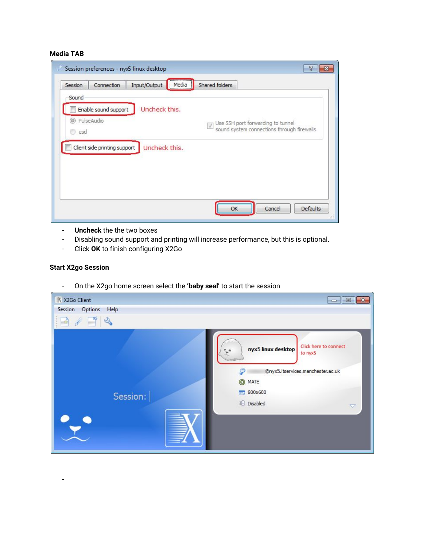#### **Media TAB**

| Sound<br>Uncheck this.<br>Enable sound support<br><sup>O</sup> PulseAudio<br>Use SSH port forwarding to tunnel<br>sound system connections through firewalls<br>$\backslash\!\!/$<br>esd<br>Client side printing support<br>Uncheck this. | Input/Output<br>Connection | ,,,,,,,,,,,,,,,,,,,,,,<br>Media<br> | Shared folders |  |
|-------------------------------------------------------------------------------------------------------------------------------------------------------------------------------------------------------------------------------------------|----------------------------|-------------------------------------|----------------|--|
|                                                                                                                                                                                                                                           |                            |                                     |                |  |
|                                                                                                                                                                                                                                           |                            |                                     |                |  |
|                                                                                                                                                                                                                                           |                            |                                     |                |  |
|                                                                                                                                                                                                                                           |                            |                                     |                |  |
|                                                                                                                                                                                                                                           |                            |                                     |                |  |
|                                                                                                                                                                                                                                           |                            |                                     |                |  |
|                                                                                                                                                                                                                                           |                            |                                     |                |  |
|                                                                                                                                                                                                                                           |                            |                                     |                |  |
|                                                                                                                                                                                                                                           |                            |                                     |                |  |

- **Uncheck** the the two boxes
- Disabling sound support and printing will increase performance, but this is optional.
- Click **OK** to finish configuring X2Go

#### **Start X2go Session**

-

- On the X2go home screen select the **'baby seal**' to start the session

| X X2Go Client              | $\mathbf{x}$<br>$\Box$ $\Box$                                                                                                                                                |
|----------------------------|------------------------------------------------------------------------------------------------------------------------------------------------------------------------------|
| Options<br>Session<br>Help |                                                                                                                                                                              |
| $\mathcal{D}$              |                                                                                                                                                                              |
| Session:<br>⋒              | Click here to connect<br>nyx5 linux desktop<br>to nyx5<br>@nyx5.itservices.manchester.ac.uk<br><b>D</b> MATE<br>800x600<br>guage.<br><b>II</b> O Disabled<br>$\triangledown$ |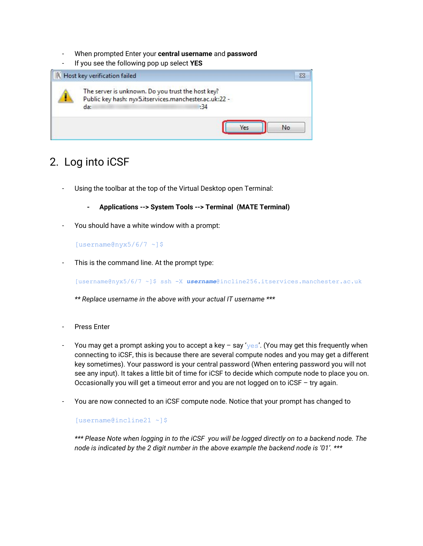- When prompted Enter your **central username** and **password**
- If you see the following pop up select **YES**



### 2. Log into iCSF

- Using the toolbar at the top of the Virtual Desktop open Terminal:
	- **- Applications -‐> System Tools -‐> Terminal (MATE Terminal)**
- You should have a white window with a prompt:

[username@nyx5/6/7 ~]\$

This is the command line. At the prompt type:

[username@nyx5/6/7 ~]\$ ssh -X *username*@incline256.itservices.manchester.ac.uk

*\*\* Replace username in the above with your actual IT username \*\*\**

- Press Enter
- You may get a prompt asking you to accept a key say ' $y \in S'$ . (You may get this frequently when connecting to iCSF, this is because there are several compute nodes and you may get a different key sometimes). Your password is your central password (When entering password you will not see any input). It takes a little bit of time for iCSF to decide which compute node to place you on. Occasionally you will get a timeout error and you are not logged on to iCSF – try again.
- You are now connected to an iCSF compute node. Notice that your prompt has changed to

[username@incline21 ~]\$

\*\*\* Please Note when logging in to the iCSF you will be logged directly on to a backend node. The *node is indicated by the 2 digit number in the above example the backend node is '01'. \*\*\**